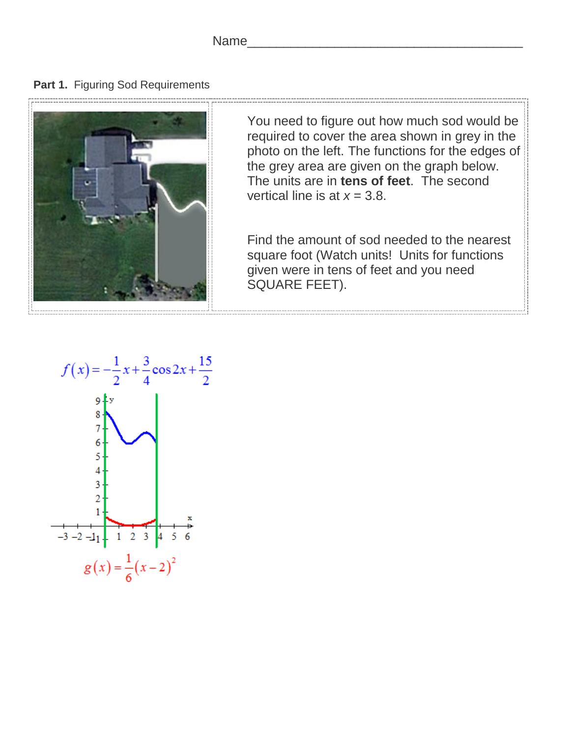**Part 1.** Figuring Sod Requirements



You need to figure out how much sod would be required to cover the area shown in grey in the photo on the left. The functions for the edges of the grey area are given on the graph below. The units are in **tens of feet**. The second vertical line is at  $x = 3.8$ .

Find the amount of sod needed to the nearest square foot (Watch units! Units for functions given were in tens of feet and you need SQUARE FEET).